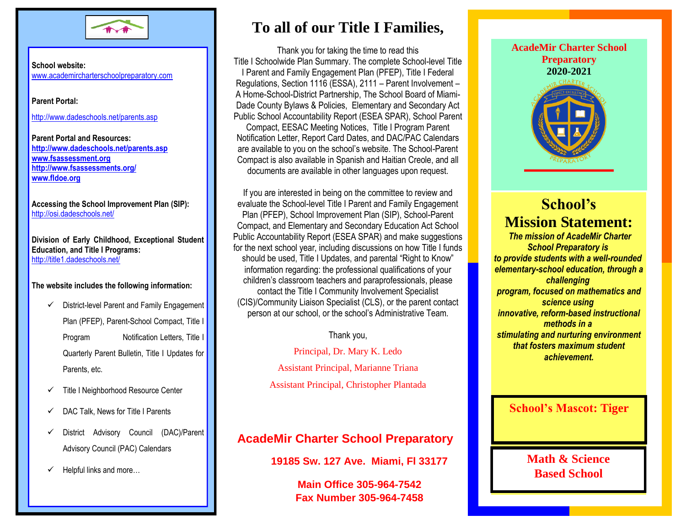

**School website:** www.academircharterschoolpreparatory.com

**Parent Portal:**

http://www.dadeschools.net/parents.asp

**Parent Portal and Resources: <http://www.dadeschools.net/parents.asp> [www.fsassessment.org](http://www.fsassessment.org/) <http://www.fsassessments.org/> [www.fldoe.org](http://www.fldoe.org/)**

**Accessing the School Improvement Plan (SIP):** http://osi.dadeschools.net/

**Division of Early Childhood, Exceptional Student Education, and Title I Programs:** http://title1.dadeschools.net/

#### **The website includes the following information:**

- $\checkmark$  District-level Parent and Family Engagement Plan (PFEP), Parent-School Compact, Title I Program Notification Letters, Title I Quarterly Parent Bulletin, Title I Updates for Parents, etc.
- $\checkmark$  Title I Neighborhood Resource Center
- $\checkmark$  DAC Talk, News for Title I Parents
- District Advisory Council (DAC)/Parent Advisory Council (PAC) Calendars
- $\checkmark$  Helpful links and more...

# **To all of our Title I Families,**

I Parent and Family Engagement Plan (PFEP), Title I Federal Thank you for taking the time to read this Title I Schoolwide Plan Summary. The complete School-level Title Regulations, Section 1116 (ESSA), 2111 – Parent Involvement – A Home-School-District Partnership, The School Board of Miami-Dade County Bylaws & Policies, Elementary and Secondary Act Public School Accountability Report (ESEA SPAR), School Parent

Compact, EESAC Meeting Notices, Title I Program Parent Notification Letter, Report Card Dates, and DAC/PAC Calendars are available to you on the school's website. The School-Parent Compact is also available in Spanish and Haitian Creole, and all documents are available in other languages upon request.

If you are interested in being on the committee to review and evaluate the School-level Title I Parent and Family Engagement Plan (PFEP), School Improvement Plan (SIP), School-Parent Compact, and Elementary and Secondary Education Act School Public Accountability Report (ESEA SPAR) and make suggestions for the next school year, including discussions on how Title I funds should be used, Title I Updates, and parental "Right to Know" information regarding: the professional qualifications of your children's classroom teachers and paraprofessionals, please contact the Title I Community Involvement Specialist (CIS)/Community Liaison Specialist (CLS), or the parent contact person at our school, or the school's Administrative Team.

Thank you,

Principal, Dr. Mary K. Ledo Assistant Principal, Marianne Triana Assistant Principal, Christopher Plantada

## **AcadeMir Charter School Preparatory**

**19185 Sw. 127 Ave. Miami, Fl 33177 Title I**

**Main Office 305-964-7542 Fax Number 305-964-7458 2013-2014**



## **School's Mission Statement:**

*The mission of AcadeMir Charter School Preparatory is to provide students with a well-rounded elementary-school education, through a challenging program, focused on mathematics and science using innovative, reform-based instructional methods in a stimulating and nurturing environment that fosters maximum student achievement.*

### **School's Mascot: Tiger**

**Math & Science Based School**